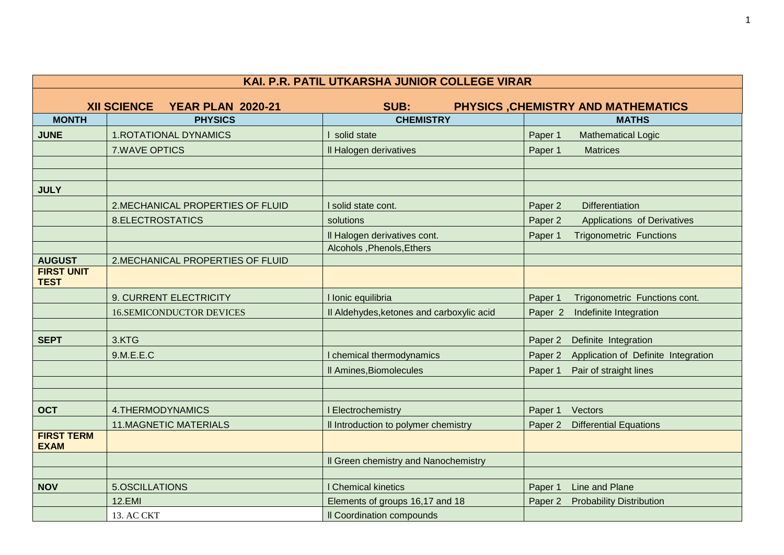| KAI. P.R. PATIL UTKARSHA JUNIOR COLLEGE VIRAR |                                            |                                           |                                                           |  |
|-----------------------------------------------|--------------------------------------------|-------------------------------------------|-----------------------------------------------------------|--|
|                                               | <b>XII SCIENCE</b>                         | SUB:                                      |                                                           |  |
| <b>MONTH</b>                                  | <b>YEAR PLAN 2020-21</b><br><b>PHYSICS</b> | <b>CHEMISTRY</b>                          | <b>PHYSICS, CHEMISTRY AND MATHEMATICS</b><br><b>MATHS</b> |  |
|                                               |                                            |                                           |                                                           |  |
| <b>JUNE</b>                                   | <b>1.ROTATIONAL DYNAMICS</b>               | solid state                               | Paper 1<br><b>Mathematical Logic</b>                      |  |
|                                               | <b>7.WAVE OPTICS</b>                       | Il Halogen derivatives                    | Paper 1<br><b>Matrices</b>                                |  |
|                                               |                                            |                                           |                                                           |  |
|                                               |                                            |                                           |                                                           |  |
| <b>JULY</b>                                   |                                            |                                           |                                                           |  |
|                                               | 2. MECHANICAL PROPERTIES OF FLUID          | solid state cont.                         | Paper 2<br>Differentiation                                |  |
|                                               | 8.ELECTROSTATICS                           | solutions                                 | Paper 2<br>Applications of Derivatives                    |  |
|                                               |                                            | Il Halogen derivatives cont.              | Paper 1<br><b>Trigonometric Functions</b>                 |  |
|                                               |                                            | Alcohols, Phenols, Ethers                 |                                                           |  |
| <b>AUGUST</b>                                 | 2.MECHANICAL PROPERTIES OF FLUID           |                                           |                                                           |  |
| <b>FIRST UNIT</b><br><b>TEST</b>              |                                            |                                           |                                                           |  |
|                                               | 9. CURRENT ELECTRICITY                     | I Ionic equilibria                        | Paper 1<br>Trigonometric Functions cont.                  |  |
|                                               | <b>16.SEMICONDUCTOR DEVICES</b>            | Il Aldehydes, ketones and carboxylic acid | Indefinite Integration<br>Paper <sub>2</sub>              |  |
|                                               |                                            |                                           |                                                           |  |
| <b>SEPT</b>                                   | 3.KTG                                      |                                           | Paper 2<br>Definite Integration                           |  |
|                                               | 9.M.E.E.C                                  | chemical thermodynamics                   | Application of Definite Integration<br>Paper 2            |  |
|                                               |                                            | Il Amines, Biomolecules                   | Paper 1<br>Pair of straight lines                         |  |
|                                               |                                            |                                           |                                                           |  |
|                                               |                                            |                                           |                                                           |  |
| <b>OCT</b>                                    | 4.THERMODYNAMICS                           | Electrochemistry                          | Paper 1<br>Vectors                                        |  |
|                                               | <b>11.MAGNETIC MATERIALS</b>               | Il Introduction to polymer chemistry      | Paper 2<br><b>Differential Equations</b>                  |  |
| <b>FIRST TERM</b><br><b>EXAM</b>              |                                            |                                           |                                                           |  |
|                                               |                                            | Il Green chemistry and Nanochemistry      |                                                           |  |
|                                               |                                            |                                           |                                                           |  |
| <b>NOV</b>                                    | 5.OSCILLATIONS                             | <b>Chemical kinetics</b>                  | Paper 1<br>Line and Plane                                 |  |
|                                               | <b>12.EMI</b>                              | Elements of groups 16,17 and 18           | Paper <sub>2</sub><br><b>Probability Distribution</b>     |  |
|                                               | 13. AC CKT                                 | Il Coordination compounds                 |                                                           |  |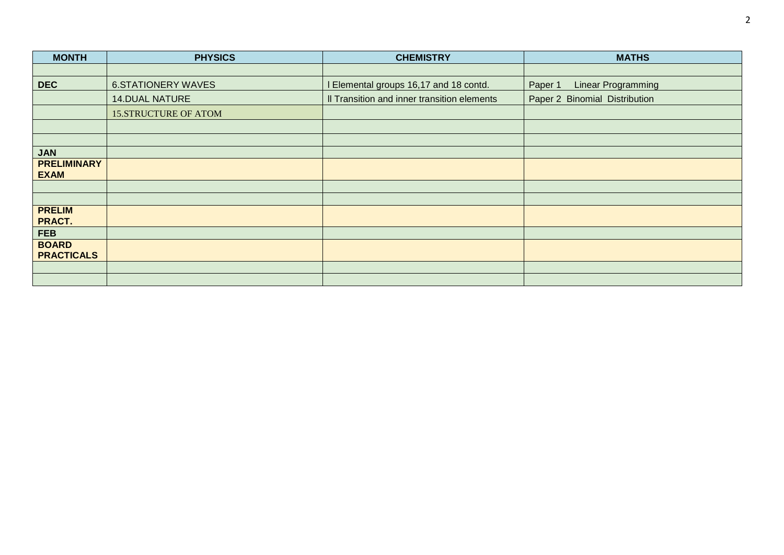| <b>MONTH</b>                      | <b>PHYSICS</b>              | <b>CHEMISTRY</b>                            | <b>MATHS</b>                  |
|-----------------------------------|-----------------------------|---------------------------------------------|-------------------------------|
|                                   |                             |                                             |                               |
| <b>DEC</b>                        | <b>6.STATIONERY WAVES</b>   | Elemental groups 16,17 and 18 contd.        | Linear Programming<br>Paper 1 |
|                                   | <b>14.DUAL NATURE</b>       | Il Transition and inner transition elements | Paper 2 Binomial Distribution |
|                                   | <b>15.STRUCTURE OF ATOM</b> |                                             |                               |
|                                   |                             |                                             |                               |
|                                   |                             |                                             |                               |
| <b>JAN</b>                        |                             |                                             |                               |
| <b>PRELIMINARY</b><br><b>EXAM</b> |                             |                                             |                               |
|                                   |                             |                                             |                               |
|                                   |                             |                                             |                               |
| <b>PRELIM</b><br>PRACT.           |                             |                                             |                               |
| <b>FEB</b>                        |                             |                                             |                               |
| <b>BOARD</b><br><b>PRACTICALS</b> |                             |                                             |                               |
|                                   |                             |                                             |                               |
|                                   |                             |                                             |                               |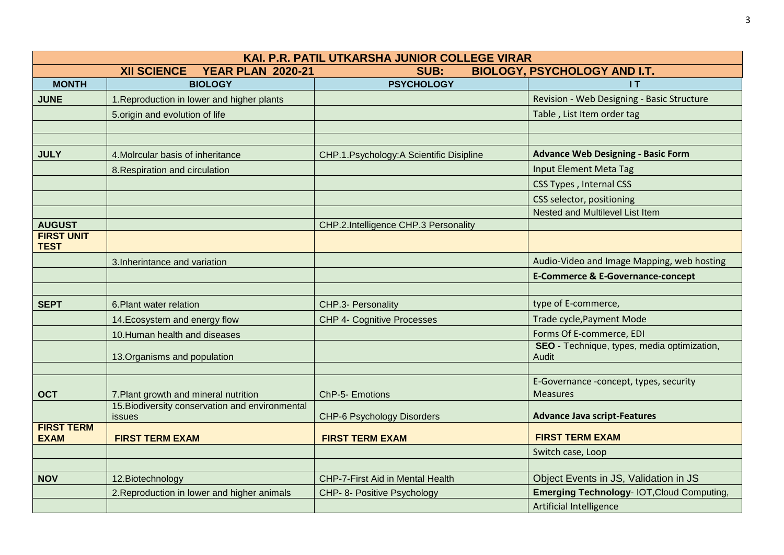| KAI. P.R. PATIL UTKARSHA JUNIOR COLLEGE VIRAR |                                                           |                                         |                                                             |
|-----------------------------------------------|-----------------------------------------------------------|-----------------------------------------|-------------------------------------------------------------|
|                                               | <b>YEAR PLAN 2020-21</b><br><b>XII SCIENCE</b>            | SUB:                                    | <b>BIOLOGY, PSYCHOLOGY AND I.T.</b>                         |
| <b>MONTH</b>                                  | <b>BIOLOGY</b>                                            | <b>PSYCHOLOGY</b>                       | 1T                                                          |
| <b>JUNE</b>                                   | 1. Reproduction in lower and higher plants                |                                         | Revision - Web Designing - Basic Structure                  |
|                                               | 5.origin and evolution of life                            |                                         | Table, List Item order tag                                  |
|                                               |                                                           |                                         |                                                             |
|                                               |                                                           |                                         |                                                             |
| <b>JULY</b>                                   | 4. Molrcular basis of inheritance                         | CHP.1.Psychology:A Scientific Disipline | <b>Advance Web Designing - Basic Form</b>                   |
|                                               | 8. Respiration and circulation                            |                                         | <b>Input Element Meta Tag</b>                               |
|                                               |                                                           |                                         | <b>CSS Types, Internal CSS</b>                              |
|                                               |                                                           |                                         | CSS selector, positioning                                   |
|                                               |                                                           |                                         | <b>Nested and Multilevel List Item</b>                      |
| <b>AUGUST</b>                                 |                                                           | CHP.2.Intelligence CHP.3 Personality    |                                                             |
| <b>FIRST UNIT</b><br><b>TEST</b>              |                                                           |                                         |                                                             |
|                                               | 3. Inherintance and variation                             |                                         | Audio-Video and Image Mapping, web hosting                  |
|                                               |                                                           |                                         | <b>E-Commerce &amp; E-Governance-concept</b>                |
|                                               |                                                           |                                         |                                                             |
| <b>SEPT</b>                                   | 6. Plant water relation                                   | CHP.3- Personality                      | type of E-commerce,                                         |
|                                               | 14. Ecosystem and energy flow                             | <b>CHP 4- Cognitive Processes</b>       | Trade cycle, Payment Mode                                   |
|                                               | 10. Human health and diseases                             |                                         | Forms Of E-commerce, EDI                                    |
|                                               | 13. Organisms and population                              |                                         | SEO - Technique, types, media optimization,<br><b>Audit</b> |
|                                               |                                                           |                                         |                                                             |
| <b>OCT</b>                                    | 7. Plant growth and mineral nutrition                     | ChP-5- Emotions                         | E-Governance -concept, types, security<br><b>Measures</b>   |
|                                               | 15. Biodiversity conservation and environmental<br>issues | <b>CHP-6 Psychology Disorders</b>       | <b>Advance Java script-Features</b>                         |
| <b>FIRST TERM</b><br><b>EXAM</b>              | <b>FIRST TERM EXAM</b>                                    | <b>FIRST TERM EXAM</b>                  | <b>FIRST TERM EXAM</b>                                      |
|                                               |                                                           |                                         | Switch case, Loop                                           |
|                                               |                                                           |                                         |                                                             |
| <b>NOV</b>                                    | 12. Biotechnology                                         | <b>CHP-7-First Aid in Mental Health</b> | Object Events in JS, Validation in JS                       |
|                                               | 2. Reproduction in lower and higher animals               | CHP- 8- Positive Psychology             | <b>Emerging Technology- IOT, Cloud Computing,</b>           |
|                                               |                                                           |                                         | Artificial Intelligence                                     |

3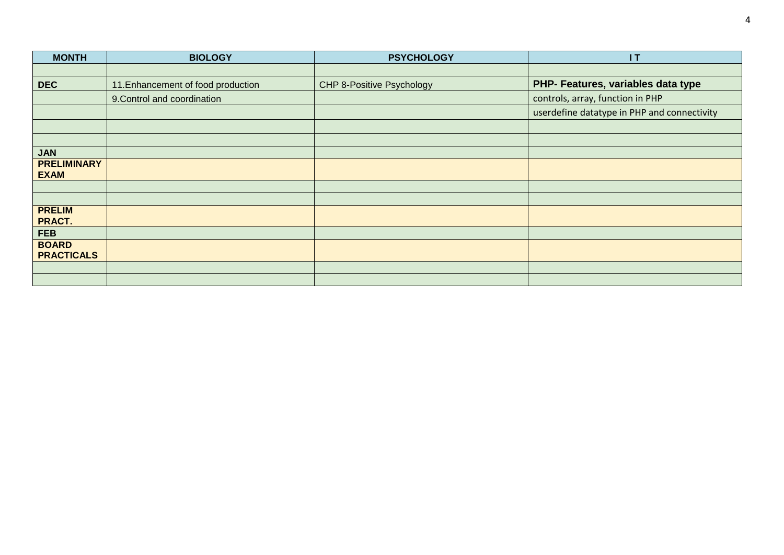| <b>MONTH</b>                      | <b>BIOLOGY</b>                     | <b>PSYCHOLOGY</b>         | 1T                                          |
|-----------------------------------|------------------------------------|---------------------------|---------------------------------------------|
|                                   |                                    |                           |                                             |
| <b>DEC</b>                        | 11. Enhancement of food production | CHP 8-Positive Psychology | PHP- Features, variables data type          |
|                                   | 9. Control and coordination        |                           | controls, array, function in PHP            |
|                                   |                                    |                           | userdefine datatype in PHP and connectivity |
|                                   |                                    |                           |                                             |
|                                   |                                    |                           |                                             |
| <b>JAN</b>                        |                                    |                           |                                             |
| <b>PRELIMINARY</b><br><b>EXAM</b> |                                    |                           |                                             |
|                                   |                                    |                           |                                             |
|                                   |                                    |                           |                                             |
| <b>PRELIM</b><br>PRACT.           |                                    |                           |                                             |
| <b>FEB</b>                        |                                    |                           |                                             |
| <b>BOARD</b><br><b>PRACTICALS</b> |                                    |                           |                                             |
|                                   |                                    |                           |                                             |
|                                   |                                    |                           |                                             |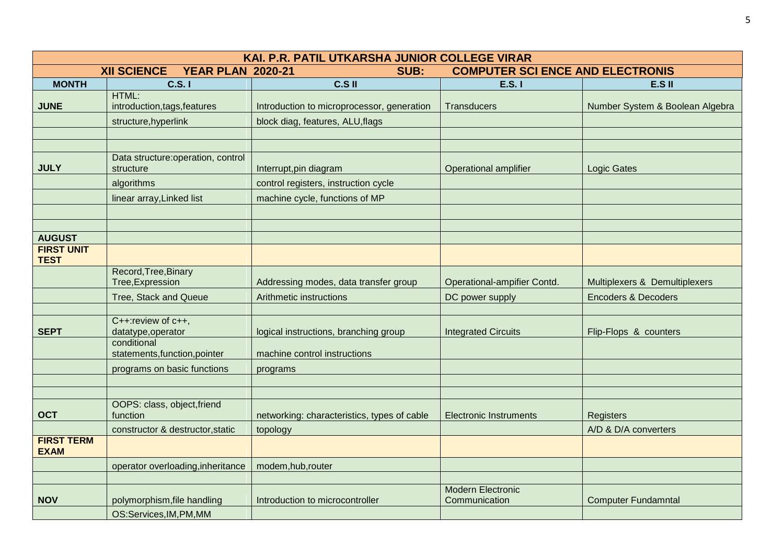| KAI. P.R. PATIL UTKARSHA JUNIOR COLLEGE VIRAR |                                                        |                                             |                                           |                                 |  |
|-----------------------------------------------|--------------------------------------------------------|---------------------------------------------|-------------------------------------------|---------------------------------|--|
|                                               | <b>YEAR PLAN 2020-21</b><br>SUB:<br><b>XII SCIENCE</b> |                                             | <b>COMPUTER SCI ENCE AND ELECTRONIS</b>   |                                 |  |
| <b>MONTH</b>                                  | C.S. I                                                 | C.S II                                      | <b>E.S. I</b>                             | E.S II                          |  |
| <b>JUNE</b>                                   | HTML:<br>introduction, tags, features                  | Introduction to microprocessor, generation  | <b>Transducers</b>                        | Number System & Boolean Algebra |  |
|                                               | structure, hyperlink                                   | block diag, features, ALU, flags            |                                           |                                 |  |
|                                               |                                                        |                                             |                                           |                                 |  |
|                                               |                                                        |                                             |                                           |                                 |  |
| <b>JULY</b>                                   | Data structure: operation, control<br>structure        | Interrupt, pin diagram                      | <b>Operational amplifier</b>              | <b>Logic Gates</b>              |  |
|                                               | algorithms                                             | control registers, instruction cycle        |                                           |                                 |  |
|                                               | linear array, Linked list                              | machine cycle, functions of MP              |                                           |                                 |  |
|                                               |                                                        |                                             |                                           |                                 |  |
|                                               |                                                        |                                             |                                           |                                 |  |
| <b>AUGUST</b>                                 |                                                        |                                             |                                           |                                 |  |
| <b>FIRST UNIT</b><br><b>TEST</b>              |                                                        |                                             |                                           |                                 |  |
|                                               | Record, Tree, Binary<br>Tree, Expression               | Addressing modes, data transfer group       | Operational-ampifier Contd.               | Multiplexers & Demultiplexers   |  |
|                                               | Tree, Stack and Queue                                  | Arithmetic instructions                     | DC power supply                           | <b>Encoders &amp; Decoders</b>  |  |
|                                               |                                                        |                                             |                                           |                                 |  |
| <b>SEPT</b>                                   | C++: review of c++,<br>datatype, operator              | logical instructions, branching group       | <b>Integrated Circuits</b>                | Flip-Flops & counters           |  |
|                                               | conditional<br>statements, function, pointer           | machine control instructions                |                                           |                                 |  |
|                                               | programs on basic functions                            | programs                                    |                                           |                                 |  |
|                                               |                                                        |                                             |                                           |                                 |  |
|                                               |                                                        |                                             |                                           |                                 |  |
| <b>OCT</b>                                    | OOPS: class, object, friend<br>function                | networking: characteristics, types of cable | <b>Electronic Instruments</b>             | <b>Registers</b>                |  |
|                                               | constructor & destructor, static                       | topology                                    |                                           | A/D & D/A converters            |  |
| <b>FIRST TERM</b><br><b>EXAM</b>              |                                                        |                                             |                                           |                                 |  |
|                                               | operator overloading, inheritance                      | modem, hub, router                          |                                           |                                 |  |
|                                               |                                                        |                                             |                                           |                                 |  |
| <b>NOV</b>                                    | polymorphism, file handling                            | Introduction to microcontroller             | <b>Modern Electronic</b><br>Communication | <b>Computer Fundamntal</b>      |  |
|                                               | OS:Services, IM, PM, MM                                |                                             |                                           |                                 |  |